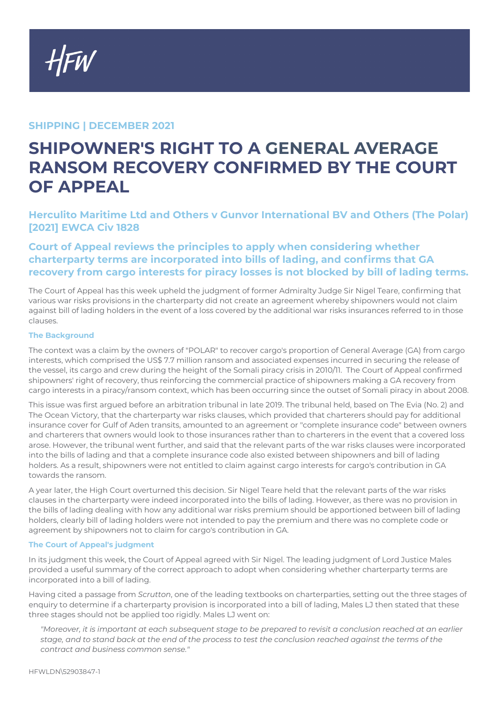## **SHIPPING | DECEMBER 2021**

# **SHIPOWNER'S RIGHT TO A GENERAL AVERAGE RANSOM RECOVERY CONFIRMED BY THE COURT OF APPEAL**

**Herculito Maritime Ltd and Others v Gunvor International BV and Others (The Polar) [2021] EWCA Civ 1828**

## **Court of Appeal reviews the principles to apply when considering whether charterparty terms are incorporated into bills of lading, and confirms that GA recovery from cargo interests for piracy losses is not blocked by bill of lading terms.**

The Court of Appeal has this week upheld the judgment of former Admiralty Judge Sir Nigel Teare, confirming that various war risks provisions in the charterparty did not create an agreement whereby shipowners would not claim against bill of lading holders in the event of a loss covered by the additional war risks insurances referred to in those clauses.

#### **The Background**

The context was a claim by the owners of "POLAR" to recover cargo's proportion of General Average (GA) from cargo interests, which comprised the US\$ 7.7 million ransom and associated expenses incurred in securing the release of the vessel, its cargo and crew during the height of the Somali piracy crisis in 2010/11. The Court of Appeal confirmed shipowners' right of recovery, thus reinforcing the commercial practice of shipowners making a GA recovery from cargo interests in a piracy/ransom context, which has been occurring since the outset of Somali piracy in about 2008.

This issue was first argued before an arbitration tribunal in late 2019. The tribunal held, based on The Evia (No. 2) and The Ocean Victory, that the charterparty war risks clauses, which provided that charterers should pay for additional insurance cover for Gulf of Aden transits, amounted to an agreement or "complete insurance code" between owners and charterers that owners would look to those insurances rather than to charterers in the event that a covered loss arose. However, the tribunal went further, and said that the relevant parts of the war risks clauses were incorporated into the bills of lading and that a complete insurance code also existed between shipowners and bill of lading holders. As a result, shipowners were not entitled to claim against cargo interests for cargo's contribution in GA towards the ransom.

A year later, the High Court overturned this decision. Sir Nigel Teare held that the relevant parts of the war risks clauses in the charterparty were indeed incorporated into the bills of lading. However, as there was no provision in the bills of lading dealing with how any additional war risks premium should be apportioned between bill of lading holders, clearly bill of lading holders were not intended to pay the premium and there was no complete code or agreement by shipowners not to claim for cargo's contribution in GA.

#### **The Court of Appeal's judgment**

In its judgment this week, the Court of Appeal agreed with Sir Nigel. The leading judgment of Lord Justice Males provided a useful summary of the correct approach to adopt when considering whether charterparty terms are incorporated into a bill of lading.

Having cited a passage from *Scrutton*, one of the leading textbooks on charterparties, setting out the three stages of enquiry to determine if a charterparty provision is incorporated into a bill of lading, Males LJ then stated that these three stages should not be applied too rigidly. Males LJ went on:

*"Moreover, it is important at each subsequent stage to be prepared to revisit a conclusion reached at an earlier stage, and to stand back at the end of the process to test the conclusion reached against the terms of the contract and business common sense."*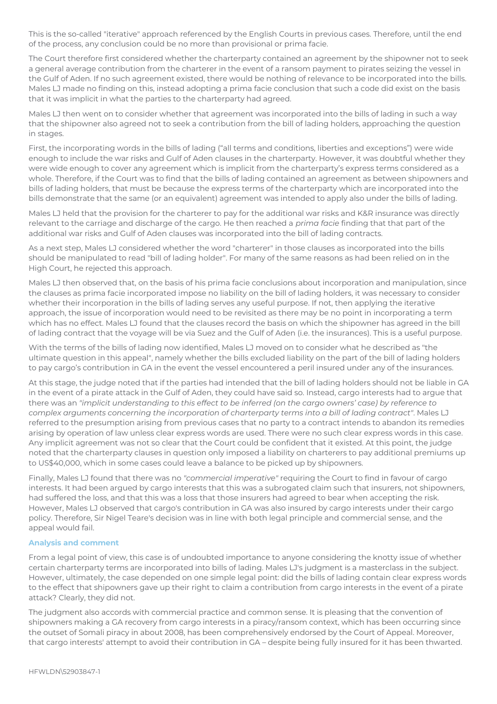This is the so-called "iterative" approach referenced by the English Courts in previous cases. Therefore, until the end of the process, any conclusion could be no more than provisional or prima facie.

The Court therefore first considered whether the charterparty contained an agreement by the shipowner not to seek a general average contribution from the charterer in the event of a ransom payment to pirates seizing the vessel in the Gulf of Aden. If no such agreement existed, there would be nothing of relevance to be incorporated into the bills. Males LJ made no finding on this, instead adopting a prima facie conclusion that such a code did exist on the basis that it was implicit in what the parties to the charterparty had agreed.

Males LJ then went on to consider whether that agreement was incorporated into the bills of lading in such a way that the shipowner also agreed not to seek a contribution from the bill of lading holders, approaching the question in stages.

First, the incorporating words in the bills of lading ("all terms and conditions, liberties and exceptions") were wide enough to include the war risks and Gulf of Aden clauses in the charterparty. However, it was doubtful whether they were wide enough to cover any agreement which is implicit from the charterparty's express terms considered as a whole. Therefore, if the Court was to find that the bills of lading contained an agreement as between shipowners and bills of lading holders, that must be because the express terms of the charterparty which are incorporated into the bills demonstrate that the same (or an equivalent) agreement was intended to apply also under the bills of lading.

Males LJ held that the provision for the charterer to pay for the additional war risks and K&R insurance was directly relevant to the carriage and discharge of the cargo. He then reached a *prima facie* finding that that part of the additional war risks and Gulf of Aden clauses was incorporated into the bill of lading contracts.

As a next step, Males LJ considered whether the word "charterer" in those clauses as incorporated into the bills should be manipulated to read "bill of lading holder". For many of the same reasons as had been relied on in the High Court, he rejected this approach.

Males LJ then observed that, on the basis of his prima facie conclusions about incorporation and manipulation, since the clauses as prima facie incorporated impose no liability on the bill of lading holders, it was necessary to consider whether their incorporation in the bills of lading serves any useful purpose. If not, then applying the iterative approach, the issue of incorporation would need to be revisited as there may be no point in incorporating a term which has no effect. Males LJ found that the clauses record the basis on which the shipowner has agreed in the bill of lading contract that the voyage will be via Suez and the Gulf of Aden (i.e. the insurances). This is a useful purpose.

With the terms of the bills of lading now identified, Males LJ moved on to consider what he described as "the ultimate question in this appeal", namely whether the bills excluded liability on the part of the bill of lading holders to pay cargo's contribution in GA in the event the vessel encountered a peril insured under any of the insurances.

At this stage, the judge noted that if the parties had intended that the bill of lading holders should not be liable in GA in the event of a pirate attack in the Gulf of Aden, they could have said so. Instead, cargo interests had to argue that there was an *"implicit understanding to this effect to be inferred (on the cargo owners' case) by reference to complex arguments concerning the incorporation of charterparty terms into a bill of lading contract"*. Males LJ referred to the presumption arising from previous cases that no party to a contract intends to abandon its remedies arising by operation of law unless clear express words are used. There were no such clear express words in this case. Any implicit agreement was not so clear that the Court could be confident that it existed. At this point, the judge noted that the charterparty clauses in question only imposed a liability on charterers to pay additional premiums up to US\$40,000, which in some cases could leave a balance to be picked up by shipowners.

Finally, Males LJ found that there was no *"commercial imperative"* requiring the Court to find in favour of cargo interests. It had been argued by cargo interests that this was a subrogated claim such that insurers, not shipowners, had suffered the loss, and that this was a loss that those insurers had agreed to bear when accepting the risk. However, Males LJ observed that cargo's contribution in GA was also insured by cargo interests under their cargo policy. Therefore, Sir Nigel Teare's decision was in line with both legal principle and commercial sense, and the appeal would fail.

#### **Analysis and comment**

From a legal point of view, this case is of undoubted importance to anyone considering the knotty issue of whether certain charterparty terms are incorporated into bills of lading. Males LJ's judgment is a masterclass in the subject. However, ultimately, the case depended on one simple legal point: did the bills of lading contain clear express words to the effect that shipowners gave up their right to claim a contribution from cargo interests in the event of a pirate attack? Clearly, they did not.

The judgment also accords with commercial practice and common sense. It is pleasing that the convention of shipowners making a GA recovery from cargo interests in a piracy/ransom context, which has been occurring since the outset of Somali piracy in about 2008, has been comprehensively endorsed by the Court of Appeal. Moreover, that cargo interests' attempt to avoid their contribution in GA – despite being fully insured for it has been thwarted.